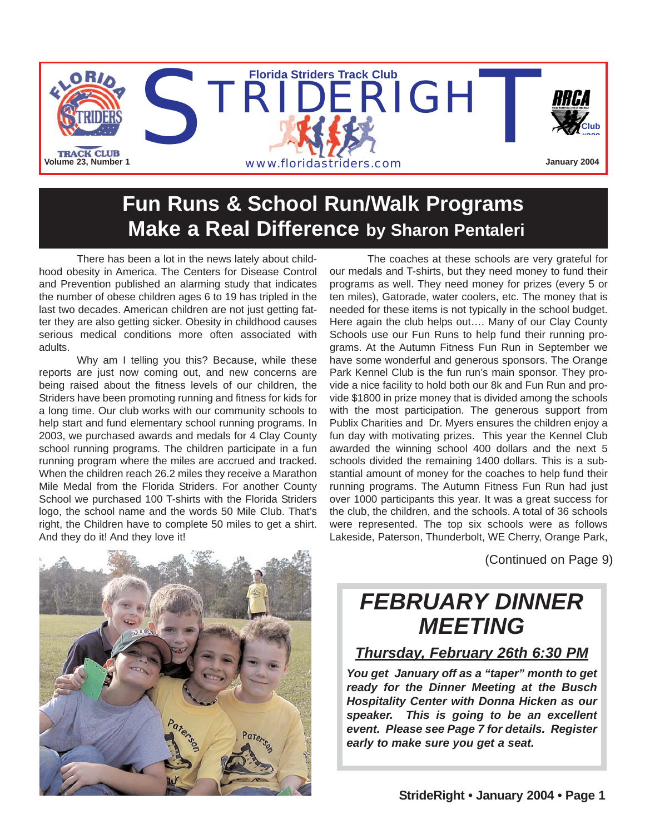

## **Fun Runs & School Run/Walk Programs Make a Real Difference by Sharon Pentaleri**

There has been a lot in the news lately about childhood obesity in America. The Centers for Disease Control and Prevention published an alarming study that indicates the number of obese children ages 6 to 19 has tripled in the last two decades. American children are not just getting fatter they are also getting sicker. Obesity in childhood causes serious medical conditions more often associated with adults.

Why am I telling you this? Because, while these reports are just now coming out, and new concerns are being raised about the fitness levels of our children, the Striders have been promoting running and fitness for kids for a long time. Our club works with our community schools to help start and fund elementary school running programs. In 2003, we purchased awards and medals for 4 Clay County school running programs. The children participate in a fun running program where the miles are accrued and tracked. When the children reach 26.2 miles they receive a Marathon Mile Medal from the Florida Striders. For another County School we purchased 100 T-shirts with the Florida Striders logo, the school name and the words 50 Mile Club. That's right, the Children have to complete 50 miles to get a shirt. And they do it! And they love it!

The coaches at these schools are very grateful for our medals and T-shirts, but they need money to fund their programs as well. They need money for prizes (every 5 or ten miles), Gatorade, water coolers, etc. The money that is needed for these items is not typically in the school budget. Here again the club helps out…. Many of our Clay County Schools use our Fun Runs to help fund their running programs. At the Autumn Fitness Fun Run in September we have some wonderful and generous sponsors. The Orange Park Kennel Club is the fun run's main sponsor. They provide a nice facility to hold both our 8k and Fun Run and provide \$1800 in prize money that is divided among the schools with the most participation. The generous support from Publix Charities and Dr. Myers ensures the children enjoy a fun day with motivating prizes. This year the Kennel Club awarded the winning school 400 dollars and the next 5 schools divided the remaining 1400 dollars. This is a substantial amount of money for the coaches to help fund their running programs. The Autumn Fitness Fun Run had just over 1000 participants this year. It was a great success for the club, the children, and the schools. A total of 36 schools were represented. The top six schools were as follows Lakeside, Paterson, Thunderbolt, WE Cherry, Orange Park,

(Continued on Page 9)

## *FEBRUARY DINNER MEETING*

#### *Thursday, February 26th 6:30 PM*

*You get January off as a "taper" month to get ready for the Dinner Meeting at the Busch Hospitality Center with Donna Hicken as our speaker. This is going to be an excellent event. Please see Page 7 for details. Register early to make sure you get a seat.*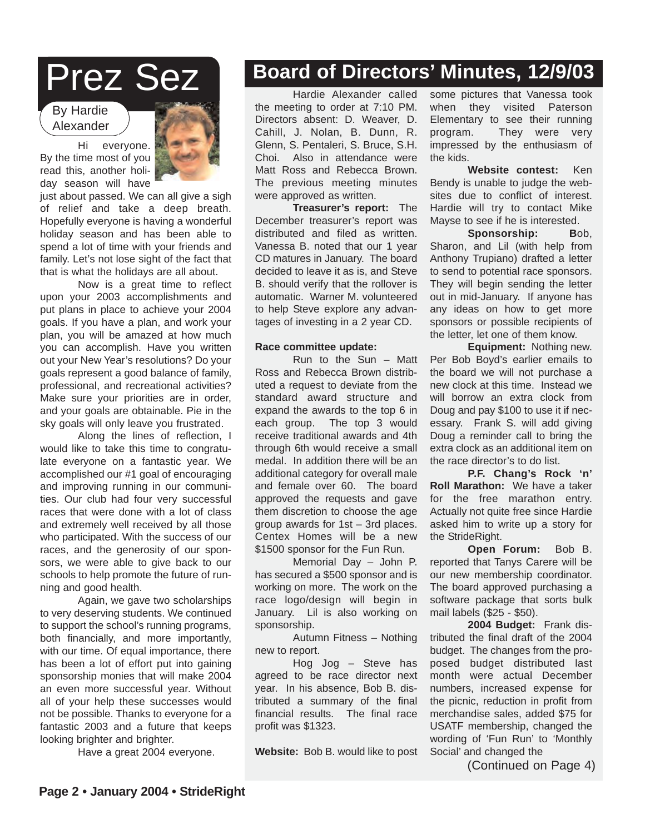## Prez Sez

#### By Hardie Alexander



Hi everyone. By the time most of you read this, another holiday season will have

just about passed. We can all give a sigh of relief and take a deep breath. Hopefully everyone is having a wonderful holiday season and has been able to spend a lot of time with your friends and family. Let's not lose sight of the fact that that is what the holidays are all about.

Now is a great time to reflect upon your 2003 accomplishments and put plans in place to achieve your 2004 goals. If you have a plan, and work your plan, you will be amazed at how much you can accomplish. Have you written out your New Year's resolutions? Do your goals represent a good balance of family, professional, and recreational activities? Make sure your priorities are in order, and your goals are obtainable. Pie in the sky goals will only leave you frustrated.

Along the lines of reflection, I would like to take this time to congratulate everyone on a fantastic year. We accomplished our #1 goal of encouraging and improving running in our communities. Our club had four very successful races that were done with a lot of class and extremely well received by all those who participated. With the success of our races, and the generosity of our sponsors, we were able to give back to our schools to help promote the future of running and good health.

Again, we gave two scholarships to very deserving students. We continued to support the school's running programs, both financially, and more importantly, with our time. Of equal importance, there has been a lot of effort put into gaining sponsorship monies that will make 2004 an even more successful year. Without all of your help these successes would not be possible. Thanks to everyone for a fantastic 2003 and a future that keeps looking brighter and brighter.

Have a great 2004 everyone.

### **Board of Directors' Minutes, 12/9/03**

Hardie Alexander called the meeting to order at 7:10 PM. Directors absent: D. Weaver, D. Cahill, J. Nolan, B. Dunn, R. Glenn, S. Pentaleri, S. Bruce, S.H. Choi. Also in attendance were Matt Ross and Rebecca Brown. The previous meeting minutes were approved as written.

**Treasurer's report:** The December treasurer's report was distributed and filed as written. Vanessa B. noted that our 1 year CD matures in January. The board decided to leave it as is, and Steve B. should verify that the rollover is automatic. Warner M. volunteered to help Steve explore any advantages of investing in a 2 year CD.

#### **Race committee update:**

Run to the Sun – Matt Ross and Rebecca Brown distributed a request to deviate from the standard award structure and expand the awards to the top 6 in each group. The top 3 would receive traditional awards and 4th through 6th would receive a small medal. In addition there will be an additional category for overall male and female over 60. The board approved the requests and gave them discretion to choose the age group awards for 1st – 3rd places. Centex Homes will be a new \$1500 sponsor for the Fun Run.

Memorial Day – John P. has secured a \$500 sponsor and is working on more. The work on the race logo/design will begin in January. Lil is also working on sponsorship.

Autumn Fitness – Nothing new to report.

Hog Jog – Steve has agreed to be race director next year. In his absence, Bob B. distributed a summary of the final financial results. The final race profit was \$1323.

**Website:** Bob B. would like to post

some pictures that Vanessa took when they visited Paterson Elementary to see their running program. They were very impressed by the enthusiasm of the kids.

**Website contest:** Ken Bendy is unable to judge the websites due to conflict of interest. Hardie will try to contact Mike Mayse to see if he is interested.

**Sponsorship: B**ob, Sharon, and Lil (with help from Anthony Trupiano) drafted a letter to send to potential race sponsors. They will begin sending the letter out in mid-January. If anyone has any ideas on how to get more sponsors or possible recipients of the letter, let one of them know.

**Equipment:** Nothing new. Per Bob Boyd's earlier emails to the board we will not purchase a new clock at this time. Instead we will borrow an extra clock from Doug and pay \$100 to use it if necessary. Frank S. will add giving Doug a reminder call to bring the extra clock as an additional item on the race director's to do list.

**P.F. Chang's Rock 'n' Roll Marathon:** We have a taker for the free marathon entry. Actually not quite free since Hardie asked him to write up a story for the StrideRight.

**Open Forum:** Bob B. reported that Tanys Carere will be our new membership coordinator. The board approved purchasing a software package that sorts bulk mail labels (\$25 - \$50).

**2004 Budget:** Frank distributed the final draft of the 2004 budget. The changes from the proposed budget distributed last month were actual December numbers, increased expense for the picnic, reduction in profit from merchandise sales, added \$75 for USATF membership, changed the wording of 'Fun Run' to 'Monthly Social' and changed the

(Continued on Page 4)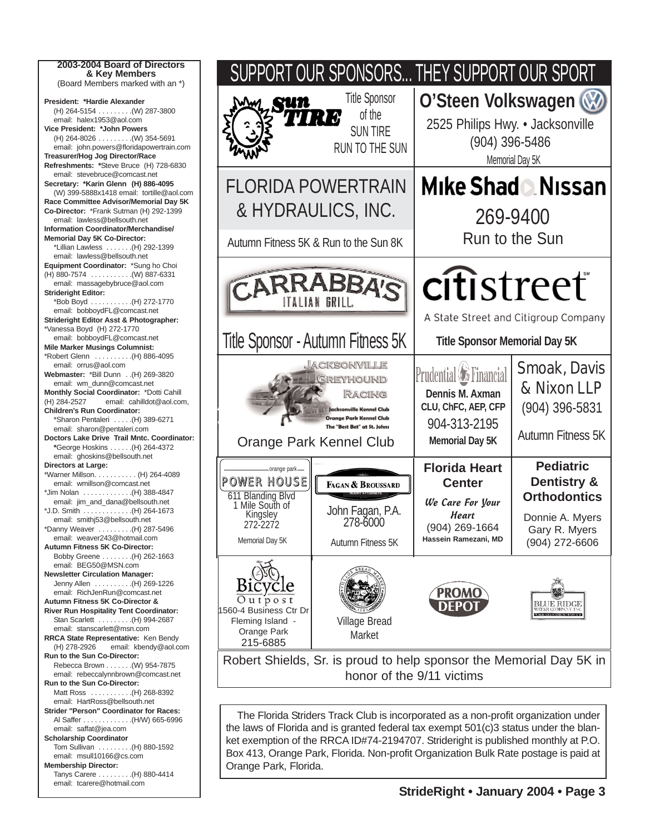**2003-2004 Board of Directors & Key Members** (Board Members marked with an \*) **President: \*Hardie Alexander** (H) 264-5154 . . . . . . . . .(W) 287-3800 email: halex1953@aol.com **Vice President: \*John Powers** (H) 264-8026 . . . . . . . . .(W) 354-5691 email: john.powers@floridapowertrain.com **Treasurer/Hog Jog Director/Race Refreshments: \***Steve Bruce (H) 728-6830 email: stevebruce@comcast.net **Secretary: \*Karin Glenn (H) 886-4095** (W) 399-5888x1418 email: tortille@aol.com **Race Committee Advisor/Memorial Day 5K Co-Director:** \*Frank Sutman (H) 292-1399 email: lawless@bellsouth.net **Information Coordinator/Merchandise/ Memorial Day 5K Co-Director:** \*Lillian Lawless . . . . . . .(H) 292-1399 email: lawless@bellsouth.net **Equipment Coordinator:** \*Sung ho Choi (H) 880-7574 . . . . . . . . . . .(W) 887-6331 email: massagebybruce@aol.com **Strideright Editor:** \*Bob Boyd . . . . . . . . . . .(H) 272-1770 email: bobboydFL@comcast.net **Strideright Editor Asst & Photographer:** \*Vanessa Boyd (H) 272-1770 email: bobboydFL@comcast.net **Mile Marker Musings Columnist:** \*Robert Glenn . . . . . . . . . .(H) 886-4095 email: orrus@aol.com **Webmaster:** \*Bill Dunn . .(H) 269-3820 email: wm\_dunn@comcast.net **Monthly Social Coordinator:** \*Dotti Cahill (H) 284-2527 email: cahilldot@aol.com, **Children's Run Coordinator:**  \*Sharon Pentaleri . . . . .(H) 389-6271 email: sharon@pentaleri.com **Doctors Lake Drive Trail Mntc. Coordinator: \***George Hoskins . . . . . .(H) 264-4372 email: ghoskins@bellsouth.net **Directors at Large:** \*Warner Millson. . . . . . . . . . . (H) 264-4089 email: wmillson@comcast.net \*Jim Nolan . . . . . . . . . . . . .(H) 388-4847 email: jim\_and\_dana@bellsouth.net \*J.D. Smith . . . . . . . . . . . . .(H) 264-1673 email: smithj53@bellsouth.net \*Danny Weaver . . . . . . . . .(H) 287-5496 email: weaver243@hotmail.com **Autumn Fitness 5K Co-Director:** Bobby Greene . . . . . . . .(H) 262-1663 email: BEG50@MSN.com **Newsletter Circulation Manager:** Jenny Allen . . . . . . . . . .(H) 269-1226 email: RichJenRun@comcast.net **Autumn Fitness 5K Co-Director & River Run Hospitality Tent Coordinator:** Stan Scarlett . . . . . . . . .(H) 994-2687 email: stanscarlett@msn.com **RRCA State Representative:** Ken Bendy (H) 278-2926 email: kbendy@aol.com **Run to the Sun Co-Director:** Rebecca Brown . . . . . . .(W) 954-7875 email: rebeccalynnbrown@comcast.net **Run to the Sun Co-Director:** Matt Ross . . . . . . . . . . . (H) 268-8392 email: HartRoss@bellsouth.net **Strider "Person" Coordinator for Races:** Al Saffer . . . . . . . . . . . . .(H/W) 665-6996 email: saffat@jea.com **Scholarship Coordinator** Tom Sullivan . . . . . . . . .(H) 880-1592 email: msull10166@cs.com **Membership Director:** Tanys Carere . . . . . . . . .(H) 880-4414 email: tcarere@hotmail.com



the laws of Florida and is granted federal tax exempt 501(c)3 status under the blanket exemption of the RRCA ID#74-2194707. Strideright is published monthly at P.O. Box 413, Orange Park, Florida. Non-profit Organization Bulk Rate postage is paid at Orange Park, Florida.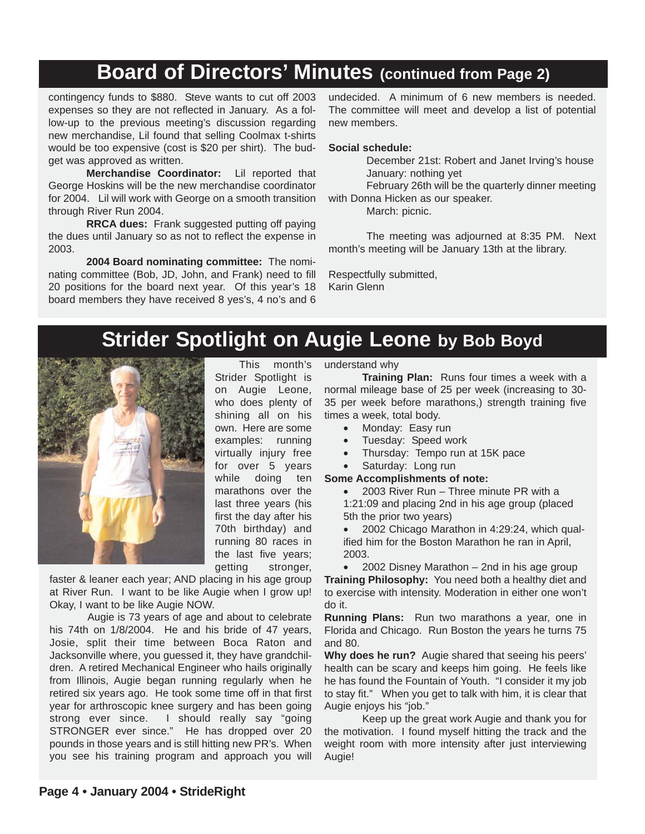### **Board of Directors' Minutes (continued from Page 2)**

contingency funds to \$880. Steve wants to cut off 2003 expenses so they are not reflected in January. As a follow-up to the previous meeting's discussion regarding new merchandise, Lil found that selling Coolmax t-shirts would be too expensive (cost is \$20 per shirt). The budget was approved as written.

**Merchandise Coordinator:** Lil reported that George Hoskins will be the new merchandise coordinator for 2004. Lil will work with George on a smooth transition through River Run 2004.

**RRCA dues:** Frank suggested putting off paying the dues until January so as not to reflect the expense in 2003.

**2004 Board nominating committee:** The nominating committee (Bob, JD, John, and Frank) need to fill 20 positions for the board next year. Of this year's 18 board members they have received 8 yes's, 4 no's and 6

undecided. A minimum of 6 new members is needed. The committee will meet and develop a list of potential new members.

#### **Social schedule:**

December 21st: Robert and Janet Irving's house January: nothing yet

February 26th will be the quarterly dinner meeting with Donna Hicken as our speaker.

March: picnic.

The meeting was adjourned at 8:35 PM. Next month's meeting will be January 13th at the library.

Respectfully submitted, Karin Glenn

## **Strider Spotlight on Augie Leone by Bob Boyd**



Strider Spotlight is on Augie Leone, who does plenty of shining all on his own. Here are some examples: running virtually injury free for over 5 years while doing ten marathons over the last three years (his first the day after his 70th birthday) and running 80 races in the last five years; getting stronger,

This month's

faster & leaner each year; AND placing in his age group at River Run. I want to be like Augie when I grow up! Okay, I want to be like Augie NOW.

Augie is 73 years of age and about to celebrate his 74th on 1/8/2004. He and his bride of 47 years, Josie, split their time between Boca Raton and Jacksonville where, you guessed it, they have grandchildren. A retired Mechanical Engineer who hails originally from Illinois, Augie began running regularly when he retired six years ago. He took some time off in that first year for arthroscopic knee surgery and has been going strong ever since. I should really say "going STRONGER ever since." He has dropped over 20 pounds in those years and is still hitting new PR's. When you see his training program and approach you will

#### understand why

**Training Plan:** Runs four times a week with a normal mileage base of 25 per week (increasing to 30- 35 per week before marathons,) strength training five times a week, total body.

- Monday: Easy run
- Tuesday: Speed work
- Thursday: Tempo run at 15K pace
- Saturday: Long run
- **Some Accomplishments of note:**

• 2003 River Run – Three minute PR with a 1:21:09 and placing 2nd in his age group (placed 5th the prior two years)

• 2002 Chicago Marathon in 4:29:24, which qualified him for the Boston Marathon he ran in April, 2003.

• 2002 Disney Marathon – 2nd in his age group **Training Philosophy:** You need both a healthy diet and to exercise with intensity. Moderation in either one won't do it.

**Running Plans:** Run two marathons a year, one in Florida and Chicago. Run Boston the years he turns 75 and 80.

**Why does he run?** Augie shared that seeing his peers' health can be scary and keeps him going. He feels like he has found the Fountain of Youth. "I consider it my job to stay fit." When you get to talk with him, it is clear that Augie enjoys his "job."

Keep up the great work Augie and thank you for the motivation. I found myself hitting the track and the weight room with more intensity after just interviewing Augie!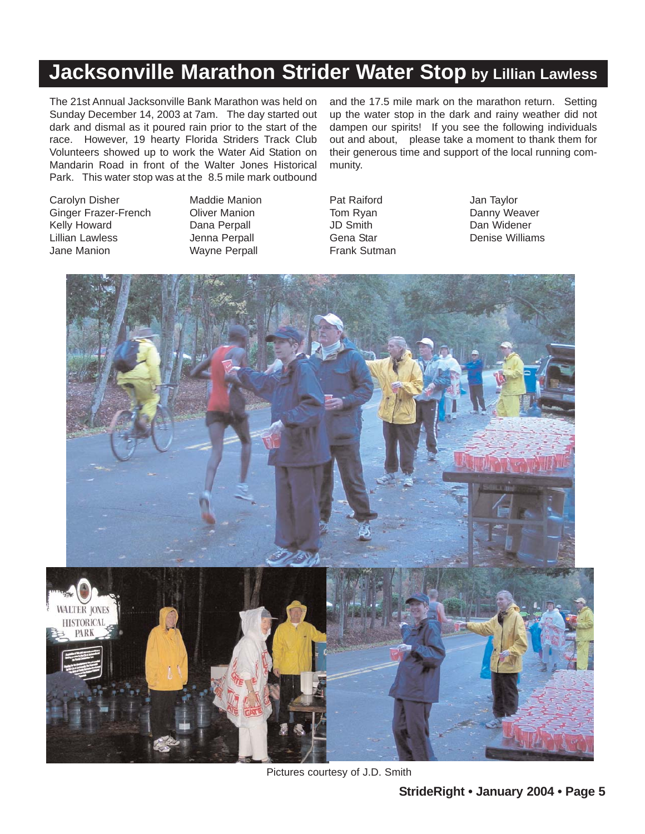## **Jacksonville Marathon Strider Water Stop by Lillian Lawless**

The 21st Annual Jacksonville Bank Marathon was held on Sunday December 14, 2003 at 7am. The day started out dark and dismal as it poured rain prior to the start of the race. However, 19 hearty Florida Striders Track Club Volunteers showed up to work the Water Aid Station on Mandarin Road in front of the Walter Jones Historical Park. This water stop was at the 8.5 mile mark outbound

Carolyn Disher Ginger Frazer-French Kelly Howard Lillian Lawless Jane Manion

Maddie Manion Oliver Manion Dana Perpall Jenna Perpall Wayne Perpall

and the 17.5 mile mark on the marathon return. Setting up the water stop in the dark and rainy weather did not dampen our spirits! If you see the following individuals out and about, please take a moment to thank them for their generous time and support of the local running community.

Pat Raiford Tom Ryan JD Smith Gena Star Frank Sutman Jan Taylor Danny Weaver Dan Widener Denise Williams



Pictures courtesy of J.D. Smith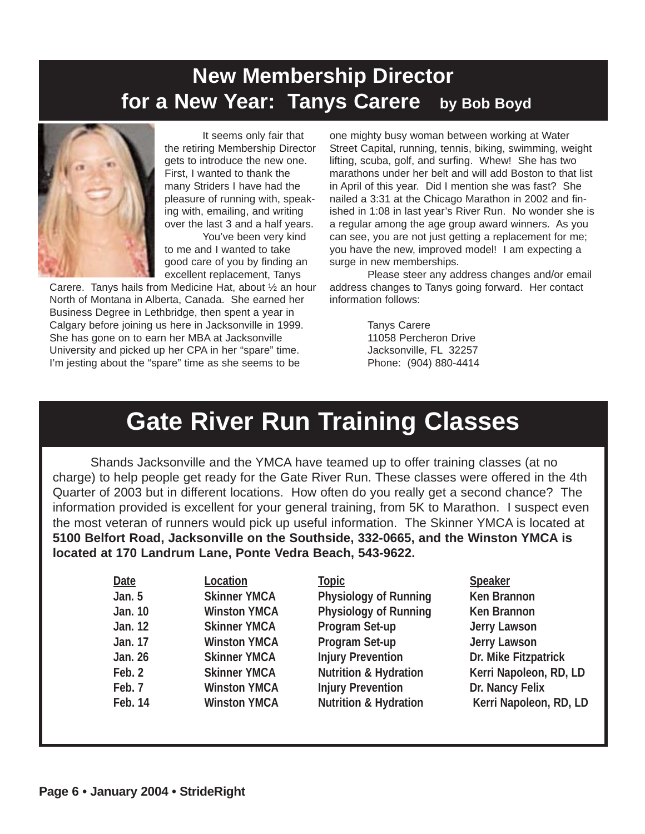## **New Membership Director for a New Year: Tanys Carere by Bob Boyd**



It seems only fair that the retiring Membership Director gets to introduce the new one. First, I wanted to thank the many Striders I have had the pleasure of running with, speaking with, emailing, and writing over the last 3 and a half years.

You've been very kind to me and I wanted to take good care of you by finding an excellent replacement, Tanys

Carere. Tanys hails from Medicine Hat, about ½ an hour North of Montana in Alberta, Canada. She earned her Business Degree in Lethbridge, then spent a year in Calgary before joining us here in Jacksonville in 1999. She has gone on to earn her MBA at Jacksonville University and picked up her CPA in her "spare" time. I'm jesting about the "spare" time as she seems to be

one mighty busy woman between working at Water Street Capital, running, tennis, biking, swimming, weight lifting, scuba, golf, and surfing. Whew! She has two marathons under her belt and will add Boston to that list in April of this year. Did I mention she was fast? She nailed a 3:31 at the Chicago Marathon in 2002 and finished in 1:08 in last year's River Run. No wonder she is a regular among the age group award winners. As you can see, you are not just getting a replacement for me; you have the new, improved model! I am expecting a surge in new memberships.

Please steer any address changes and/or email address changes to Tanys going forward. Her contact information follows:

> Tanys Carere 11058 Percheron Drive Jacksonville, FL 32257 Phone: (904) 880-4414

## **Gate River Run Training Classes**

Shands Jacksonville and the YMCA have teamed up to offer training classes (at no charge) to help people get ready for the Gate River Run. These classes were offered in the 4th Quarter of 2003 but in different locations. How often do you really get a second chance? The information provided is excellent for your general training, from 5K to Marathon. I suspect even the most veteran of runners would pick up useful information. The Skinner YMCA is located at **5100 Belfort Road, Jacksonville on the Southside, 332-0665, and the Winston YMCA is located at 170 Landrum Lane, Ponte Vedra Beach, 543-9622.** 

| Date          | Location            | <b>Topic</b>                     | Speaker                |
|---------------|---------------------|----------------------------------|------------------------|
| <b>Jan. 5</b> | <b>Skinner YMCA</b> | Physiology of Running            | Ken Brannon            |
| Jan. 10       | <b>Winston YMCA</b> | <b>Physiology of Running</b>     | Ken Brannon            |
| Jan. 12       | <b>Skinner YMCA</b> | Program Set-up                   | Jerry Lawson           |
| Jan. 17       | <b>Winston YMCA</b> | Program Set-up                   | Jerry Lawson           |
| Jan. 26       | <b>Skinner YMCA</b> | <b>Injury Prevention</b>         | Dr. Mike Fitzpatrick   |
| Feb. 2        | <b>Skinner YMCA</b> | <b>Nutrition &amp; Hydration</b> | Kerri Napoleon, RD, LD |
| Feb. 7        | <b>Winston YMCA</b> | <b>Injury Prevention</b>         | Dr. Nancy Felix        |
| Feb. 14       | <b>Winston YMCA</b> | <b>Nutrition &amp; Hydration</b> | Kerri Napoleon, RD, LD |
|               |                     |                                  |                        |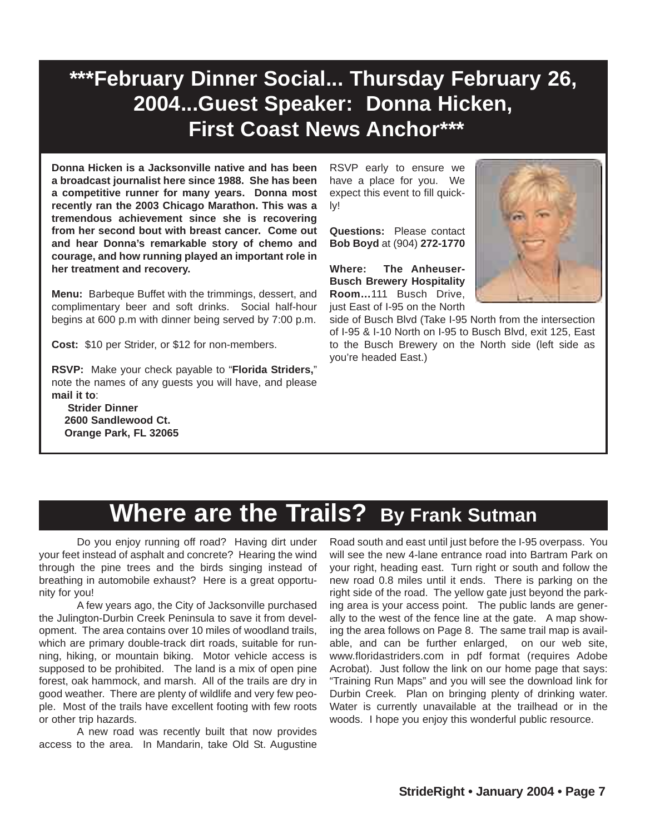## **\*\*\*February Dinner Social... Thursday February 26, 2004...Guest Speaker: Donna Hicken, First Coast News Anchor\*\*\***

**Donna Hicken is a Jacksonville native and has been a broadcast journalist here since 1988. She has been a competitive runner for many years. Donna most recently ran the 2003 Chicago Marathon. This was a tremendous achievement since she is recovering from her second bout with breast cancer. Come out and hear Donna's remarkable story of chemo and courage, and how running played an important role in her treatment and recovery.** 

**Menu:** Barbeque Buffet with the trimmings, dessert, and complimentary beer and soft drinks. Social half-hour begins at 600 p.m with dinner being served by 7:00 p.m.

**Cost:** \$10 per Strider, or \$12 for non-members.

**RSVP:** Make your check payable to "**Florida Striders,**" note the names of any guests you will have, and please **mail it to**:

**Strider Dinner 2600 Sandlewood Ct. Orange Park, FL 32065** RSVP early to ensure we have a place for you. We expect this event to fill quickly!

**Questions:** Please contact **Bob Boyd** at (904) **272-1770**

**Where: The Anheuser-Busch Brewery Hospitality Room…**111 Busch Drive, just East of I-95 on the North



side of Busch Blvd (Take I-95 North from the intersection of I-95 & I-10 North on I-95 to Busch Blvd, exit 125, East to the Busch Brewery on the North side (left side as you're headed East.)

## **Where are the Trails? By Frank Sutman**

Do you enjoy running off road? Having dirt under your feet instead of asphalt and concrete? Hearing the wind through the pine trees and the birds singing instead of breathing in automobile exhaust? Here is a great opportunity for you!

A few years ago, the City of Jacksonville purchased the Julington-Durbin Creek Peninsula to save it from development. The area contains over 10 miles of woodland trails, which are primary double-track dirt roads, suitable for running, hiking, or mountain biking. Motor vehicle access is supposed to be prohibited. The land is a mix of open pine forest, oak hammock, and marsh. All of the trails are dry in good weather. There are plenty of wildlife and very few people. Most of the trails have excellent footing with few roots or other trip hazards.

A new road was recently built that now provides access to the area. In Mandarin, take Old St. Augustine

Road south and east until just before the I-95 overpass. You will see the new 4-lane entrance road into Bartram Park on your right, heading east. Turn right or south and follow the new road 0.8 miles until it ends. There is parking on the right side of the road. The yellow gate just beyond the parking area is your access point. The public lands are generally to the west of the fence line at the gate. A map showing the area follows on Page 8. The same trail map is available, and can be further enlarged, on our web site, www.floridastriders.com in pdf format (requires Adobe Acrobat). Just follow the link on our home page that says: "Training Run Maps" and you will see the download link for Durbin Creek. Plan on bringing plenty of drinking water. Water is currently unavailable at the trailhead or in the woods. I hope you enjoy this wonderful public resource.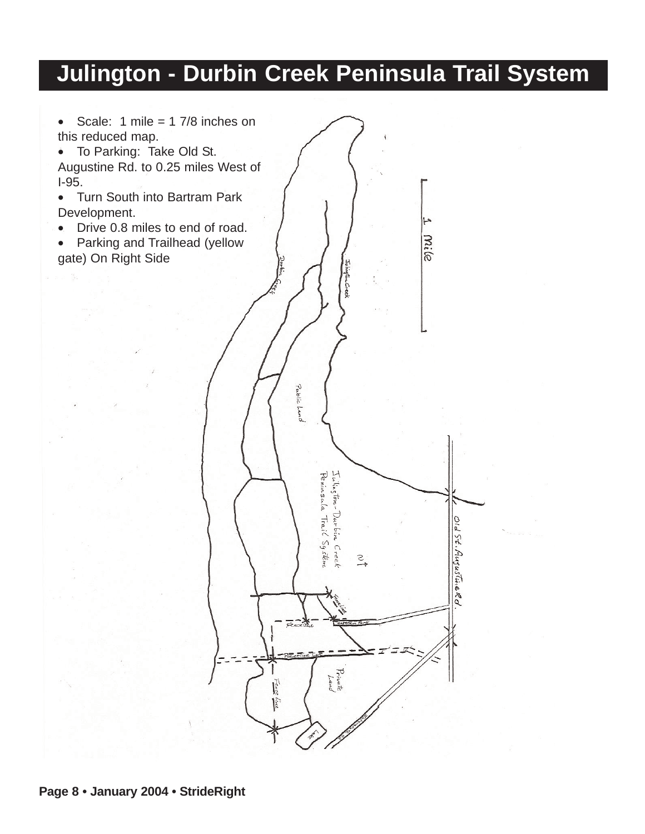## **Julington - Durbin Creek Peninsula Trail System**

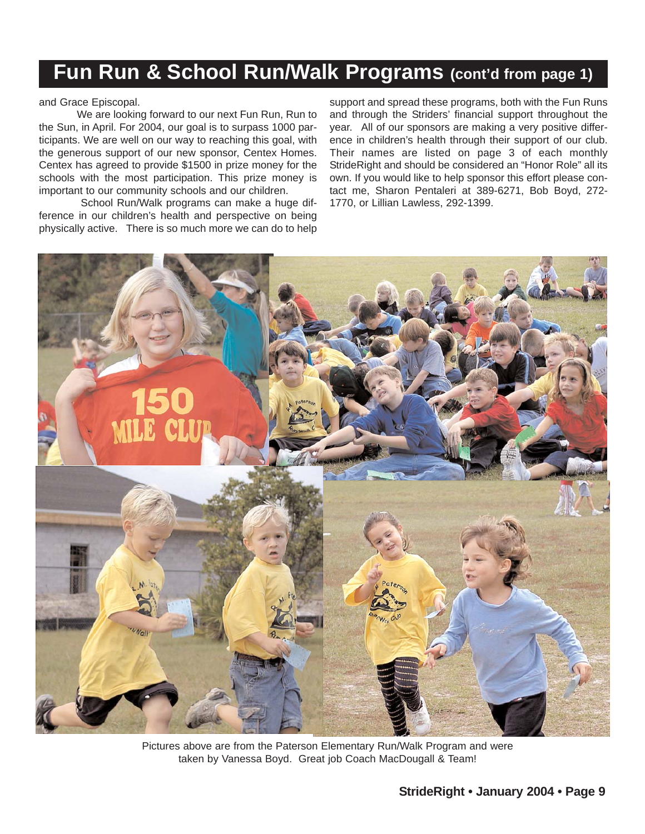## **Fun Run & School Run/Walk Programs (cont'd from page 1)**

and Grace Episcopal.

We are looking forward to our next Fun Run, Run to the Sun, in April. For 2004, our goal is to surpass 1000 participants. We are well on our way to reaching this goal, with the generous support of our new sponsor, Centex Homes. Centex has agreed to provide \$1500 in prize money for the schools with the most participation. This prize money is important to our community schools and our children.

School Run/Walk programs can make a huge difference in our children's health and perspective on being physically active. There is so much more we can do to help support and spread these programs, both with the Fun Runs and through the Striders' financial support throughout the year. All of our sponsors are making a very positive difference in children's health through their support of our club. Their names are listed on page 3 of each monthly StrideRight and should be considered an "Honor Role" all its own. If you would like to help sponsor this effort please contact me, Sharon Pentaleri at 389-6271, Bob Boyd, 272- 1770, or Lillian Lawless, 292-1399.



Pictures above are from the Paterson Elementary Run/Walk Program and were taken by Vanessa Boyd. Great job Coach MacDougall & Team!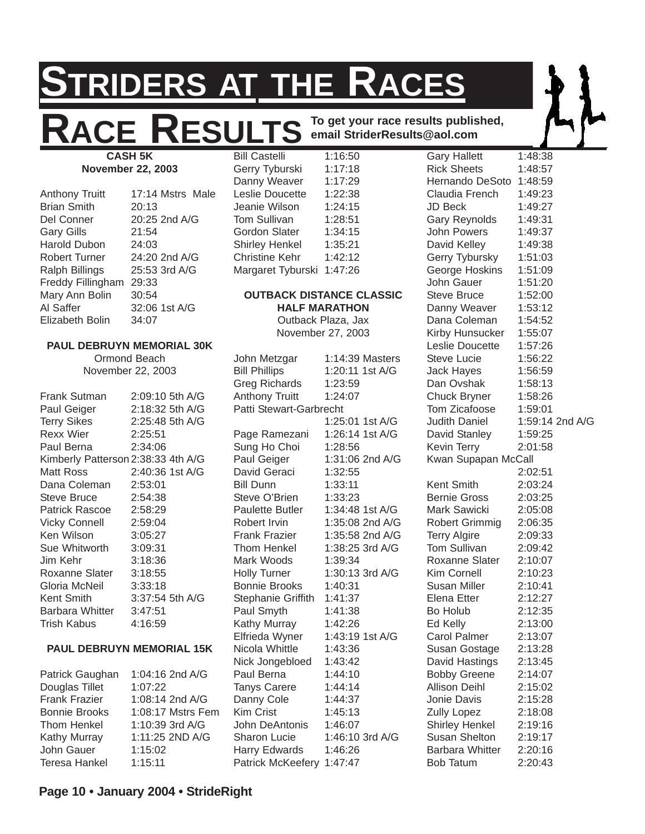## **STRIDERS AT THE RACES**

## **ACE RESULTS** To get your race results published, **email StriderResults@aol.com**

**CASH 5K November 22, 2003**

Anthony Truitt 17:14 Mstrs Male Brian Smith 20:13 Del Conner 20:25 2nd A/G Gary Gills 21:54 Harold Dubon 24:03 Robert Turner 24:20 2nd A/G Ralph Billings 25:53 3rd A/G Freddy Fillingham 29:33 Mary Ann Bolin 30:54 Al Saffer 32:06 1st A/G Elizabeth Bolin 34:07

| <b>PAUL DEBRUYN MEMORIAL 30K</b>   |                 |  |  |  |  |  |  |
|------------------------------------|-----------------|--|--|--|--|--|--|
|                                    | Ormond Beach    |  |  |  |  |  |  |
| November 22, 2003                  |                 |  |  |  |  |  |  |
|                                    |                 |  |  |  |  |  |  |
| Frank Sutman                       | 2:09:10 5th A/G |  |  |  |  |  |  |
| Paul Geiger                        | 2:18:32 5th A/G |  |  |  |  |  |  |
| <b>Terry Sikes</b>                 | 2:25:48 5th A/G |  |  |  |  |  |  |
| Rexx Wier                          | 2:25:51         |  |  |  |  |  |  |
| Paul Berna                         | 2:34:06         |  |  |  |  |  |  |
| Kimberly Patterson 2:38:33 4th A/G |                 |  |  |  |  |  |  |
| Matt Ross                          | 2:40:36 1st A/G |  |  |  |  |  |  |
| Dana Coleman 2:53:01               |                 |  |  |  |  |  |  |
| Steve Bruce                        | 2:54:38         |  |  |  |  |  |  |
| Patrick Rascoe 2:58:29             |                 |  |  |  |  |  |  |
| <b>Vicky Connell</b>               | 2:59:04         |  |  |  |  |  |  |
| Ken Wilson                         | 3:05:27         |  |  |  |  |  |  |
| Sue Whitworth 3:09:31              |                 |  |  |  |  |  |  |
| Jim Kehr                           | 3:18:36         |  |  |  |  |  |  |
| Roxanne Slater 3:18:55             |                 |  |  |  |  |  |  |
| Gloria McNeil                      | 3:33:18         |  |  |  |  |  |  |
| Kent Smith                         | 3:37:54 5th A/G |  |  |  |  |  |  |
| Barbara Whitter 3:47:51            |                 |  |  |  |  |  |  |
| Trish Kabus                        | 4:16:59         |  |  |  |  |  |  |
|                                    |                 |  |  |  |  |  |  |
| <b>PAIL DERRIIVN MEMORIAL 15K</b>  |                 |  |  |  |  |  |  |

#### **L DEBRUYN MEMORIAL 15K**

Patrick Gaughan 1:04:16 2nd A/G Douglas Tillet 1:07:22 Frank Frazier 1:08:14 2nd A/G Bonnie Brooks 1:08:17 Mstrs Fem Thom Henkel 1:10:39 3rd A/G Kathy Murray 1:11:25 2ND A/G John Gauer 1:15:02 Teresa Hankel 1:15:11

**Bill Castelli** Gerry Tyburski 1:17:18 Danny Weaver 1:17:29 Leslie Doucette 1:22:38 Jeanie Wilson 1:24:15 Tom Sullivan 1:28:51 Gordon Slater 1:34:15 Shirley Henkel 1:35:21 Christine Kehr 1:42:12 Margaret Tyburski 1:47:26

#### **OUTBACK DISTANCE CLASSIC HALF MARATHON**

Outback Plaza, Jax November 27, 2003

| John Metzgar              | 1:14:39 Masters |
|---------------------------|-----------------|
| <b>Bill Phillips</b>      | 1:20:11 1st A/G |
| <b>Greg Richards</b>      | 1:23:59         |
| <b>Anthony Truitt</b>     | 1:24:07         |
| Patti Stewart-Garbrecht   |                 |
|                           | 1:25:01 1st A/G |
| Page Ramezani             | 1:26:14 1st A/G |
| Sung Ho Choi              | 1:28:56         |
| Paul Geiger               | 1:31:06 2nd A/G |
| David Geraci              | 1:32:55         |
| <b>Bill Dunn</b>          | 1:33:11         |
| Steve O'Brien             | 1:33:23         |
| <b>Paulette Butler</b>    | 1:34:48 1st A/G |
| Robert Irvin              | 1:35:08 2nd A/G |
| Frank Frazier             | 1:35:58 2nd A/G |
| Thom Henkel               | 1:38:25 3rd A/G |
| Mark Woods                | 1:39:34         |
| <b>Holly Turner</b>       | 1:30:13 3rd A/G |
| <b>Bonnie Brooks</b>      | 1:40:31         |
| <b>Stephanie Griffith</b> | 1:41:37         |
| Paul Smyth                | 1:41:38         |
| Kathy Murray              | 1:42:26         |
| Elfrieda Wyner            | 1:43:19 1st A/G |
| Nicola Whittle            | 1:43:36         |
| Nick Jongebloed           | 1:43:42         |
| Paul Berna                | 1:44:10         |
| <b>Tanys Carere</b>       | 1:44:14         |
| Danny Cole                | 1:44:37         |
| <b>Kim Crist</b>          | 1:45:13         |
| John DeAntonis            | 1:46:07         |
| Sharon Lucie              | 1:46:10 3rd A/G |
| <b>Harry Edwards</b>      | 1:46:26         |
| Patrick McKeefery         | 1:47:47         |

Gary Hallett 1:48:38 Rick Sheets 1:48:57 Hernando DeSoto 1:48:59 Claudia French 1:49:23  $J\Box$  Beck  $1:49:27$ Gary Reynolds 1:49:31 John Powers 1:49:37 David Kelley 1:49:38 Gerry Tybursky 1:51:03 George Hoskins 1:51:09 John Gauer 1:51:20 Steve Bruce 1:52:00 Danny Weaver 1:53:12 Dana Coleman 1:54:52 Kirby Hunsucker 1:55:07 Leslie Doucette 1:57:26 Steve Lucie 1:56:22 Jack Hayes 1:56:59 Dan Ovshak 1:58:13 Chuck Bryner 1:58:26 Tom Zicafoose 1:59:01 Judith Daniel 1:59:14 2nd A/G David Stanley 1:59:25 Kevin Terry 2:01:58 Kwan Supapan McCall 2:02:51 Kent Smith 2:03:24 Bernie Gross 2:03:25 Mark Sawicki 2:05:08 Robert Grimmig 2:06:35 Terry Algire 2:09:33 Tom Sullivan 2:09:42 Roxanne Slater 2:10:07 Kim Cornell 2:10:23 Susan Miller 2:10:41 Elena Etter 2:12:27 Bo Holub 2:12:35 Ed Kelly 2:13:00 Carol Palmer 2:13:07 Susan Gostage 2:13:28 David Hastings 2:13:45 Bobby Greene 2:14:07 Allison Deihl 2:15:02 Jonie Davis 2:15:28 Zully Lopez 2:18:08 Shirley Henkel 2:19:16 Susan Shelton 2:19:17 Barbara Whitter 2:20:16 Bob Tatum 2:20:43

#### **Page 10 • January 2004 • StrideRight**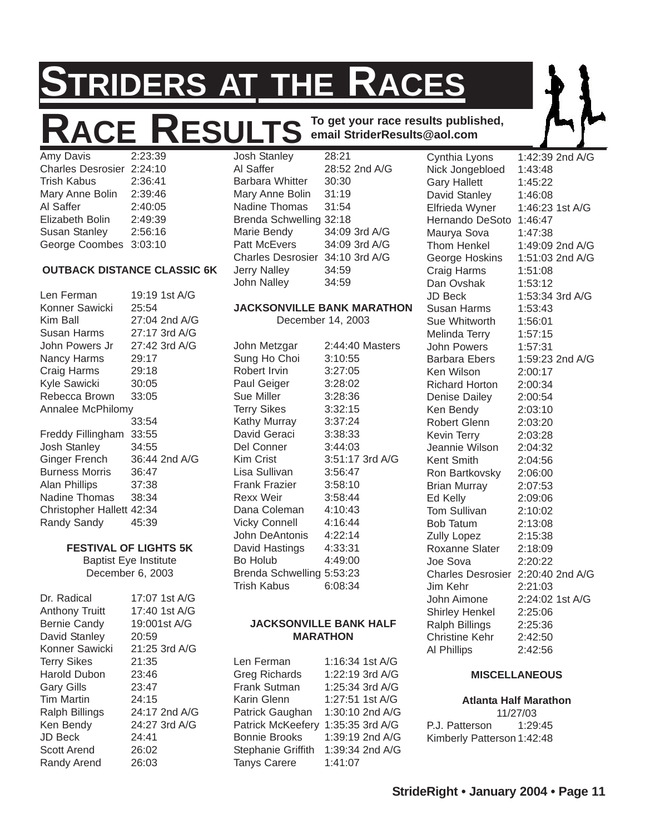# **STRIDERS AT THE RACES**

### ACE RESULTS To get your race results published,<br>avis 2:23:39 Josh Stanley 28:21 Cynthia Lyons Amy Davis Josh Stanley

## **email StriderResults@aol.com**

Charles Desrosier 2:24:10 Trish Kabus 2:36:41 Mary Anne Bolin 2:39:46 Al Saffer 2:40:05 Elizabeth Bolin 2:49:39 Susan Stanley 2:56:16 George Coombes 3:03:10

#### **OUTBACK DISTANCE CLASSIC 6K**

Len Ferman 19:19 1st A/G Konner Sawicki 25:54 Kim Ball 27:04 2nd A/G Susan Harms 27:17 3rd A/G John Powers Jr 27:42 3rd A/G Nancy Harms 29:17 Craig Harms 29:18 Kyle Sawicki 30:05 Rebecca Brown 33:05 Annalee McPhilomy 33:54 Freddy Fillingham 33:55 Josh Stanley 34:55 Ginger French 36:44 2nd A/G Burness Morris 36:47 Alan Phillips 37:38 Nadine Thomas 38:34 Christopher Hallett 42:34 Randy Sandy 45:39

#### **FESTIVAL OF LIGHTS 5K**

Baptist Eye Institute December 6, 2003

| Dr. Radical           | 17:07 1st A/G |
|-----------------------|---------------|
| <b>Anthony Truitt</b> | 17:40 1st A/G |
| <b>Bernie Candy</b>   | 19:001st A/G  |
| David Stanley         | 20:59         |
| Konner Sawicki        | 21:25 3rd A/G |
| <b>Terry Sikes</b>    | 21:35         |
| Harold Dubon          | 23:46         |
| <b>Gary Gills</b>     | 23:47         |
| Tim Martin            | 24:15         |
| <b>Ralph Billings</b> | 24:17 2nd A/G |
| Ken Bendy             | 24:27 3rd A/G |
| JD Beck               | 24:41         |
| Scott Arend           | 26:02         |
| Randy Arend           | 26:03         |

Al Saffer 28:52 2nd A/G Barbara Whitter 30:30 Mary Anne Bolin 31:19 Nadine Thomas 31:54 Brenda Schwelling 32:18 Marie Bendy 34:09 3rd A/G Patt McEvers 34:09 3rd A/G Charles Desrosier 34:10 3rd A/G Jerry Nalley 34:59 John Nalley 34:59

#### **JACKSONVILLE BANK MARATHON**

December 14, 2003

John Metzgar 2:44:40 Masters Sung Ho Choi 3:10:55 Robert Irvin 3:27:05 Paul Geiger 3:28:02 Sue Miller 3:28:36 Terry Sikes 3:32:15 Kathy Murray 3:37:24 David Geraci 3:38:33 Del Conner 3:44:03 Kim Crist 3:51:17 3rd A/G Lisa Sullivan 3:56:47 Frank Frazier 3:58:10 Rexx Weir 3:58:44 Dana Coleman 4:10:43 Vicky Connell 4:16:44 John DeAntonis 4:22:14 David Hastings 4:33:31 Bo Holub 4:49:00 Brenda Schwelling 5:53:23 Trish Kabus 6:08:34

#### **JACKSONVILLE BANK HALF MARATHON**

| Len Ferman               | 1:16:34 1st A/G |
|--------------------------|-----------------|
| <b>Greg Richards</b>     | 1:22:19 3rd A/G |
| Frank Sutman             | 1:25:34 3rd A/G |
| Karin Glenn              | 1:27:51 1st A/G |
| Patrick Gaughan          | 1:30:10 2nd A/G |
| <b>Patrick McKeefery</b> | 1:35:35 3rd A/G |
| <b>Bonnie Brooks</b>     | 1:39:19 2nd A/G |
| Stephanie Griffith       | 1:39:34 2nd A/G |
| <b>Tanys Carere</b>      | 1:41:07         |

1:42:39 2nd A/G Nick Jongebloed 1:43:48 Gary Hallett 1:45:22 David Stanley 1:46:08 Elfrieda Wyner 1:46:23 1st A/G Hernando DeSoto 1:46:47 Maurya Sova 1:47:38 Thom Henkel 1:49:09 2nd A/G George Hoskins 1:51:03 2nd A/G Craig Harms 1:51:08 Dan Ovshak 1:53:12 JD Beck 1:53:34 3rd A/G Susan Harms 1:53:43 Sue Whitworth 1:56:01 Melinda Terry 1:57:15 John Powers 1:57:31 Barbara Ebers 1:59:23 2nd A/G Ken Wilson 2:00:17 Richard Horton 2:00:34 Denise Dailey 2:00:54 Ken Bendy 2:03:10 Robert Glenn 2:03:20 Kevin Terry 2:03:28 Jeannie Wilson 2:04:32 Kent Smith 2:04:56 Ron Bartkovsky 2:06:00 Brian Murray 2:07:53 Ed Kelly 2:09:06 Tom Sullivan 2:10:02 Bob Tatum 2:13:08 Zully Lopez 2:15:38 Roxanne Slater 2:18:09 Joe Sova 2:20:22 Charles Desrosier 2:20:40 2nd A/G Jim Kehr 2:21:03 John Aimone 2:24:02 1st A/G Shirley Henkel 2:25:06 Ralph Billings 2:25:36 Christine Kehr 2:42:50 Al Phillips 2:42:56

#### **MISCELLANEOUS**

#### **Atlanta Half Marathon** 11/27/03 P.J. Patterson 1:29:45 Kimberly Patterson 1:42:48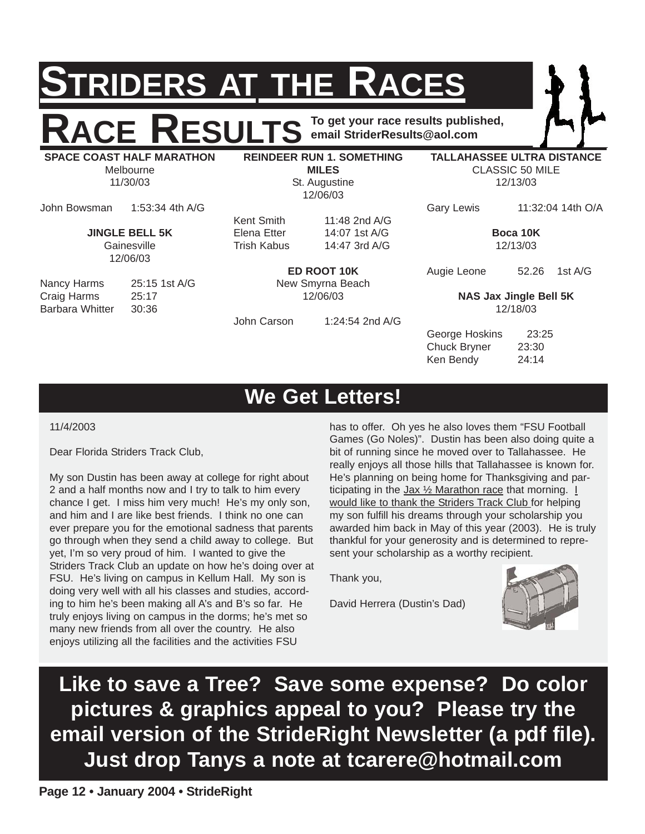## **STRIDERS AT THE RACES**

**RACE RESULTS** To get your race results published, **email StriderResults@aol.com**

**SPACE COAST HALF MARATHON** Melbourne 11/30/03

**REINDEER RUN 1. SOMETHING MILES** St. Augustine 12/06/03

Kent Smith 11:48 2nd A/G

**TALLAHASSEE ULTRA DISTANCE** CLASSIC 50 MILE 12/13/03

John Bowsman 1:53:34 4th A/G

**JINGLE BELL 5K** Gainesville 12/06/03

Nancy Harms 25:15 1st A/G Craig Harms 25:17 Barbara Whitter 30:36

Elena Etter 14:07 1st A/G Trish Kabus 14:47 3rd A/G

**ED ROOT 10K** New Smyrna Beach 12/06/03

John Carson 1:24:54 2nd A/G

Gary Lewis 11:32:04 14th O/A

**Boca 10K** 12/13/03

Augie Leone 52.26 1st A/G

**NAS Jax Jingle Bell 5K** 12/18/03

George Hoskins 23:25 Chuck Bryner 23:30 Ken Bendy 24:14

## **We Get Letters!**

11/4/2003

Dear Florida Striders Track Club,

My son Dustin has been away at college for right about 2 and a half months now and I try to talk to him every chance I get. I miss him very much! He's my only son, and him and I are like best friends. I think no one can ever prepare you for the emotional sadness that parents go through when they send a child away to college. But yet, I'm so very proud of him. I wanted to give the Striders Track Club an update on how he's doing over at FSU. He's living on campus in Kellum Hall. My son is doing very well with all his classes and studies, according to him he's been making all A's and B's so far. He truly enjoys living on campus in the dorms; he's met so many new friends from all over the country. He also enjoys utilizing all the facilities and the activities FSU

has to offer. Oh yes he also loves them "FSU Football Games (Go Noles)". Dustin has been also doing quite a bit of running since he moved over to Tallahassee. He really enjoys all those hills that Tallahassee is known for. He's planning on being home for Thanksgiving and participating in the  $Jax \frac{1}{2}$  Marathon race that morning.  $I$ would like to thank the Striders Track Club for helping my son fulfill his dreams through your scholarship you awarded him back in May of this year (2003). He is truly thankful for your generosity and is determined to represent your scholarship as a worthy recipient.

Thank you,

David Herrera (Dustin's Dad)



**Like to save a Tree? Save some expense? Do color pictures & graphics appeal to you? Please try the email version of the StrideRight Newsletter (a pdf file). Just drop Tanys a note at tcarere@hotmail.com**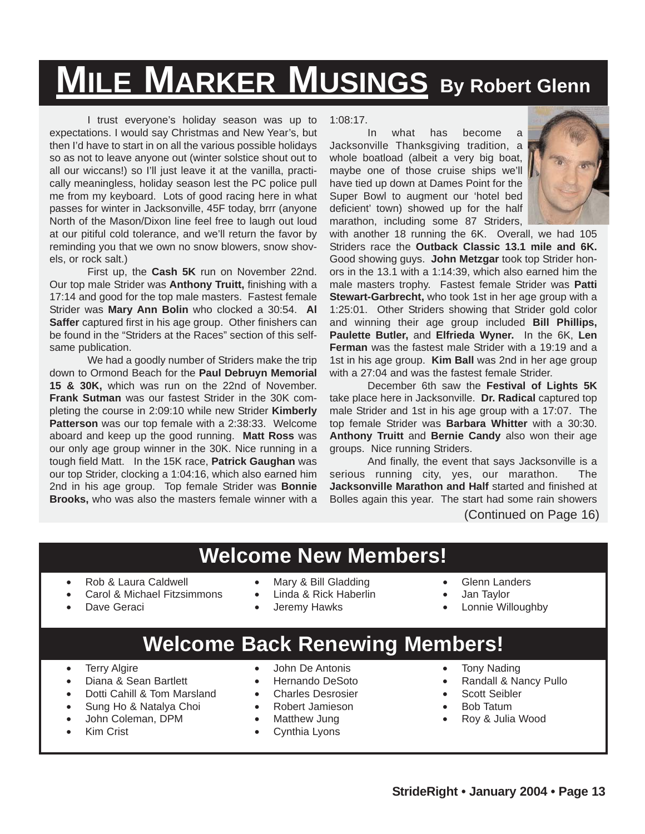## **MILE MARKER MUSINGS By Robert Glenn**

I trust everyone's holiday season was up to expectations. I would say Christmas and New Year's, but then I'd have to start in on all the various possible holidays so as not to leave anyone out (winter solstice shout out to all our wiccans!) so I'll just leave it at the vanilla, practically meaningless, holiday season lest the PC police pull me from my keyboard. Lots of good racing here in what passes for winter in Jacksonville, 45F today, brrr (anyone North of the Mason/Dixon line feel free to laugh out loud at our pitiful cold tolerance, and we'll return the favor by reminding you that we own no snow blowers, snow shovels, or rock salt.)

First up, the **Cash 5K** run on November 22nd. Our top male Strider was **Anthony Truitt,** finishing with a 17:14 and good for the top male masters. Fastest female Strider was **Mary Ann Bolin** who clocked a 30:54. **Al Saffer** captured first in his age group. Other finishers can be found in the "Striders at the Races" section of this selfsame publication.

We had a goodly number of Striders make the trip down to Ormond Beach for the **Paul Debruyn Memorial 15 & 30K,** which was run on the 22nd of November. **Frank Sutman** was our fastest Strider in the 30K completing the course in 2:09:10 while new Strider **Kimberly Patterson** was our top female with a 2:38:33. Welcome aboard and keep up the good running. **Matt Ross** was our only age group winner in the 30K. Nice running in a tough field Matt. In the 15K race, **Patrick Gaughan** was our top Strider, clocking a 1:04:16, which also earned him 2nd in his age group. Top female Strider was **Bonnie Brooks,** who was also the masters female winner with a

1:08:17.

In what has become a Jacksonville Thanksgiving tradition, a whole boatload (albeit a very big boat, maybe one of those cruise ships we'll have tied up down at Dames Point for the Super Bowl to augment our 'hotel bed deficient' town) showed up for the half marathon, including some 87 Striders,



with another 18 running the 6K. Overall, we had 105 Striders race the **Outback Classic 13.1 mile and 6K.** Good showing guys. **John Metzgar** took top Strider honors in the 13.1 with a 1:14:39, which also earned him the male masters trophy. Fastest female Strider was **Patti Stewart-Garbrecht,** who took 1st in her age group with a 1:25:01. Other Striders showing that Strider gold color and winning their age group included **Bill Phillips, Paulette Butler,** and **Elfrieda Wyner.** In the 6K, **Len Ferman** was the fastest male Strider with a 19:19 and a 1st in his age group. **Kim Ball** was 2nd in her age group with a 27:04 and was the fastest female Strider.

December 6th saw the **Festival of Lights 5K** take place here in Jacksonville. **Dr. Radical** captured top male Strider and 1st in his age group with a 17:07. The top female Strider was **Barbara Whitter** with a 30:30. **Anthony Truitt** and **Bernie Candy** also won their age groups. Nice running Striders.

And finally, the event that says Jacksonville is a serious running city, yes, our marathon. The **Jacksonville Marathon and Half** started and finished at Bolles again this year. The start had some rain showers

(Continued on Page 16)

## **Welcome New Members!**

- Rob & Laura Caldwell
- Carol & Michael Fitzsimmons
- Dave Geraci
- Mary & Bill Gladding
- Linda & Rick Haberlin
- Jeremy Hawks
- Glenn Landers
- Jan Taylor
- Lonnie Willoughby

## **Welcome Back Renewing Members!**

- Terry Algire
- Diana & Sean Bartlett
- Dotti Cahill & Tom Marsland
- Sung Ho & Natalya Choi
- John Coleman, DPM
- Kim Crist
- John De Antonis
- Hernando DeSoto
- Charles Desrosier
- Robert Jamieson
- Matthew Jung
- Cynthia Lyons
- Tony Nading
- Randall & Nancy Pullo
- Scott Seibler
- Bob Tatum
- Roy & Julia Wood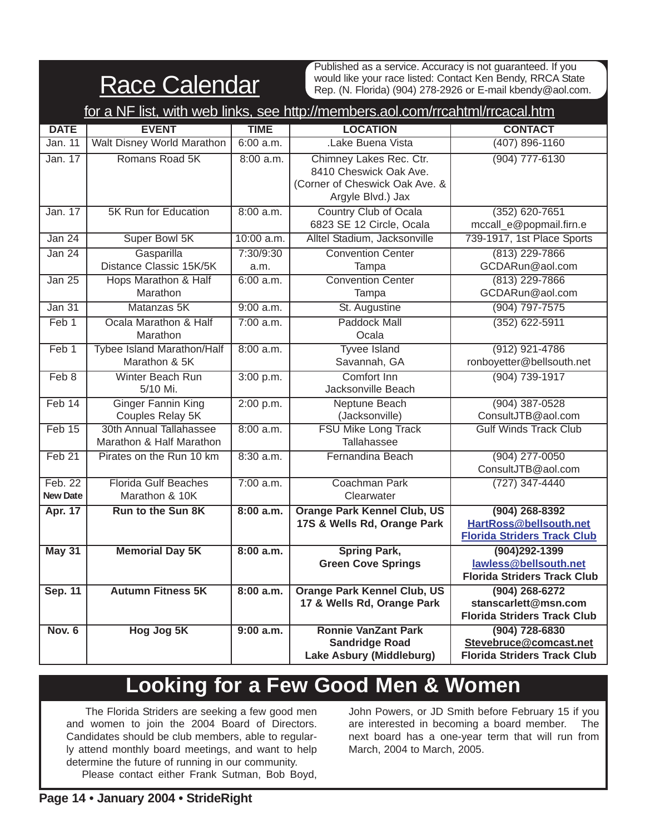|--|

Published as a service. Accuracy is not guaranteed. If you would like your race listed: Contact Ken Bendy, RRCA State Rep. (N. Florida) (904) 278-2926 or E-mail kbendy@aol.com.

| for a NF list, with web links, see http://members.aol.com/rrcahtml/rrcacal.htm |                                                     |                   |                                                                                                          |                                                                                    |  |  |  |
|--------------------------------------------------------------------------------|-----------------------------------------------------|-------------------|----------------------------------------------------------------------------------------------------------|------------------------------------------------------------------------------------|--|--|--|
| <b>DATE</b>                                                                    | <b>EVENT</b>                                        | <b>TIME</b>       | <b>LOCATION</b>                                                                                          | <b>CONTACT</b>                                                                     |  |  |  |
| Jan. 11                                                                        | <b>Walt Disney World Marathon</b>                   | 6:00 a.m.         | .Lake Buena Vista                                                                                        | $(407) 896 - 1160$                                                                 |  |  |  |
| Jan. 17                                                                        | Romans Road 5K                                      | 8:00 a.m.         | Chimney Lakes Rec. Ctr.<br>8410 Cheswick Oak Ave.<br>(Corner of Cheswick Oak Ave. &<br>Argyle Blvd.) Jax | (904) 777-6130                                                                     |  |  |  |
| Jan. 17                                                                        | <b>5K Run for Education</b>                         | 8:00 a.m.         | <b>Country Club of Ocala</b><br>6823 SE 12 Circle, Ocala                                                 | $(352)$ 620-7651<br>mccall_e@popmail.firn.e                                        |  |  |  |
| Jan 24                                                                         | Super Bowl 5K                                       | 10:00 a.m.        | Alltel Stadium, Jacksonville                                                                             | 739-1917, 1st Place Sports                                                         |  |  |  |
| Jan 24                                                                         | Gasparilla<br>Distance Classic 15K/5K               | 7:30/9:30<br>a.m. | <b>Convention Center</b><br>Tampa                                                                        | $(813)$ 229-7866<br>GCDARun@aol.com                                                |  |  |  |
| <b>Jan 25</b>                                                                  | Hops Marathon & Half<br>Marathon                    | 6:00 a.m.         | <b>Convention Center</b><br>Tampa                                                                        | $(813)$ 229-7866<br>GCDARun@aol.com                                                |  |  |  |
| Jan <sub>31</sub>                                                              | Matanzas 5K                                         | $9:00$ a.m.       | St. Augustine                                                                                            | $(904) 797 - 7575$                                                                 |  |  |  |
| Feb 1                                                                          | Ocala Marathon & Half<br>Marathon                   | 7:00 a.m.         | <b>Paddock Mall</b><br>Ocala                                                                             | $(352)$ 622-5911                                                                   |  |  |  |
| Feb 1                                                                          | <b>Tybee Island Marathon/Half</b><br>Marathon & 5K  | $8:00$ a.m.       | <b>Tyvee Island</b><br>Savannah, GA                                                                      | $(912)$ 921-4786<br>ronboyetter@bellsouth.net                                      |  |  |  |
| Feb 8                                                                          | Winter Beach Run<br>5/10 Mi.                        | 3:00 p.m.         | Comfort Inn<br>Jacksonville Beach                                                                        | (904) 739-1917                                                                     |  |  |  |
| Feb 14                                                                         | <b>Ginger Fannin King</b><br>Couples Relay 5K       | 2:00 p.m.         | Neptune Beach<br>(Jacksonville)                                                                          | $(904)$ 387-0528<br>ConsultJTB@aol.com                                             |  |  |  |
| Feb 15                                                                         | 30th Annual Tallahassee<br>Marathon & Half Marathon | 8:00 a.m.         | <b>FSU Mike Long Track</b><br>Tallahassee                                                                | <b>Gulf Winds Track Club</b>                                                       |  |  |  |
| Feb 21                                                                         | Pirates on the Run 10 km                            | $8:30$ a.m.       | Fernandina Beach                                                                                         | $(904)$ 277-0050<br>ConsultJTB@aol.com                                             |  |  |  |
| Feb. 22<br><b>New Date</b>                                                     | <b>Florida Gulf Beaches</b><br>Marathon & 10K       | 7:00 a.m.         | Coachman Park<br>Clearwater                                                                              | $(727)$ 347-4440                                                                   |  |  |  |
| Apr. 17                                                                        | <b>Run to the Sun 8K</b>                            | 8:00 a.m.         | <b>Orange Park Kennel Club, US</b><br>17S & Wells Rd, Orange Park                                        | $(904)$ 268-8392<br>HartRoss@bellsouth.net<br><b>Florida Striders Track Club</b>   |  |  |  |
| <b>May 31</b>                                                                  | <b>Memorial Day 5K</b>                              | 8:00 a.m.         | <b>Spring Park,</b><br><b>Green Cove Springs</b>                                                         | $(904)292 - 1399$<br>lawless@bellsouth.net<br><b>Florida Striders Track Club</b>   |  |  |  |
| <b>Sep. 11</b>                                                                 | <b>Autumn Fitness 5K</b>                            | 8:00 a.m.         | <b>Orange Park Kennel Club, US</b><br>17 & Wells Rd, Orange Park                                         | $(904)$ 268-6272<br>stanscarlett@msn.com<br><b>Florida Striders Track Club</b>     |  |  |  |
| <b>Nov. 6</b>                                                                  | Hog Jog 5K                                          | $9:00$ a.m.       | <b>Ronnie VanZant Park</b><br><b>Sandridge Road</b><br>Lake Asbury (Middleburg)                          | $(904) 728 - 6830$<br>Stevebruce@comcast.net<br><b>Florida Striders Track Club</b> |  |  |  |

## **Looking for a Few Good Men & Women**

The Florida Striders are seeking a few good men and women to join the 2004 Board of Directors. Candidates should be club members, able to regularly attend monthly board meetings, and want to help determine the future of running in our community. Please contact either Frank Sutman, Bob Boyd,

John Powers, or JD Smith before February 15 if you are interested in becoming a board member. The next board has a one-year term that will run from March, 2004 to March, 2005.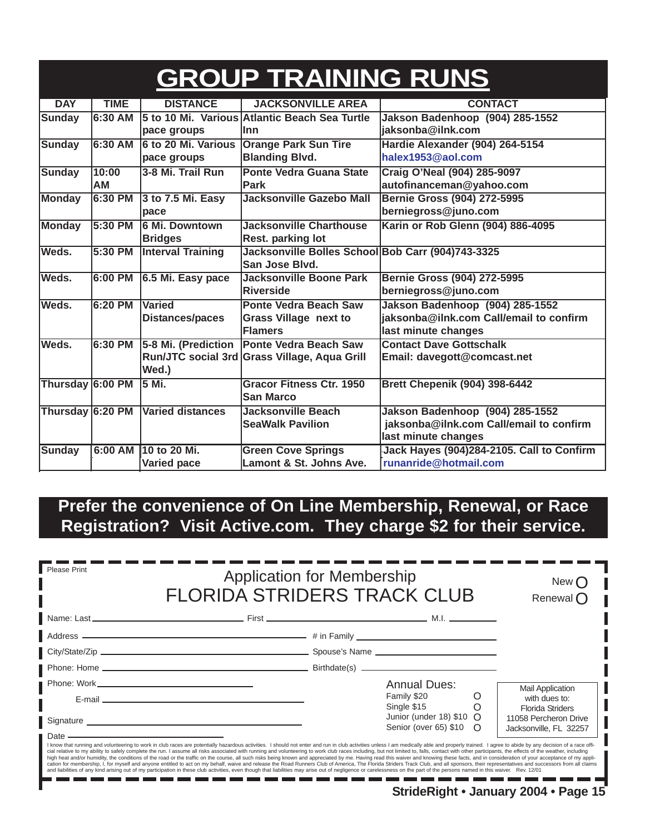|                  |                    |                                           | <b>GROUP TRAINING RUNS</b>                                                     |                                                                                                   |
|------------------|--------------------|-------------------------------------------|--------------------------------------------------------------------------------|---------------------------------------------------------------------------------------------------|
| <b>DAY</b>       | <b>TIME</b>        | <b>DISTANCE</b>                           | <b>JACKSONVILLE AREA</b>                                                       | <b>CONTACT</b>                                                                                    |
| <b>Sunday</b>    | $6:30$ AM          | pace groups                               | 5 to 10 Mi. Various Atlantic Beach Sea Turtle<br>llnn                          | Jakson Badenhoop (904) 285-1552<br>jaksonba@ilnk.com                                              |
| <b>Sunday</b>    | 6:30 AM            | <b>6 to 20 Mi. Various</b><br>pace groups | <b>Orange Park Sun Tire</b><br><b>Blanding Blvd.</b>                           | Hardie Alexander (904) 264-5154<br>halex1953@aol.com                                              |
| <b>Sunday</b>    | 10:00<br><b>AM</b> | 3-8 Mi. Trail Run                         | <b>Ponte Vedra Guana State</b><br>Park                                         | Craig O'Neal (904) 285-9097<br>autofinanceman@yahoo.com                                           |
| <b>Monday</b>    | 6:30 PM            | 3 to 7.5 Mi. Easy<br>pace                 | Jacksonville Gazebo Mall                                                       | <b>Bernie Gross (904) 272-5995</b><br>berniegross@juno.com                                        |
| Monday           | 5:30 PM            | <b>6 Mi. Downtown</b><br><b>Bridges</b>   | <b>Jacksonville Charthouse</b><br>Rest. parking lot                            | Karin or Rob Glenn (904) 886-4095                                                                 |
| Weds.            | 5:30 PM            | <b>Interval Training</b>                  | Jacksonville Bolles School Bob Carr (904)743-3325<br>San Jose Blvd.            |                                                                                                   |
| Weds.            | 6:00 PM            | 6.5 Mi. Easy pace                         | <b>Jacksonville Boone Park</b><br><b>Riverside</b>                             | <b>Bernie Gross (904) 272-5995</b><br>berniegross@juno.com                                        |
| Weds.            | 6:20 PM            | <b>Varied</b><br><b>Distances/paces</b>   | <b>Ponte Vedra Beach Saw</b><br><b>Grass Village next to</b><br><b>Flamers</b> | Jakson Badenhoop (904) 285-1552<br>jaksonba@ilnk.com Call/email to confirm<br>last minute changes |
| Weds.            | 6:30 PM            | 5-8 Mi. (Prediction<br>Wed.)              | <b>Ponte Vedra Beach Saw</b><br>Run/JTC social 3rd Grass Village, Aqua Grill   | <b>Contact Dave Gottschalk</b><br>Email: davegott@comcast.net                                     |
| Thursday 6:00 PM |                    | 5 Mi.                                     | <b>Gracor Fitness Ctr. 1950</b><br><b>San Marco</b>                            | <b>Brett Chepenik (904) 398-6442</b>                                                              |
| Thursday 6:20 PM |                    | <b>Varied distances</b>                   | <b>Jacksonville Beach</b><br><b>SeaWalk Pavilion</b>                           | Jakson Badenhoop (904) 285-1552<br>jaksonba@ilnk.com Call/email to confirm<br>last minute changes |
| <b>Sunday</b>    | 6:00 AM            | 10 to 20 Mi.<br><b>Varied pace</b>        | <b>Green Cove Springs</b><br>Lamont & St. Johns Ave.                           | Jack Hayes (904)284-2105. Call to Confirm<br>runanride@hotmail.com                                |

### **Prefer the convenience of On Line Membership, Renewal, or Race Registration? Visit Active.com. They charge \$2 for their service.**

| Please Print | <b>Application for Membership</b><br><b>FLORIDA STRIDERS TRACK CLUB</b>                                                                                                                                                                                                                                                                                                                                                                                                                                                                                                                                                                                                                                                                                                                                                                                                                                                                                                                                                                                                                                                                                            |  |                                                           |   | New (<br>Renewal $\bigcap$                                          |
|--------------|--------------------------------------------------------------------------------------------------------------------------------------------------------------------------------------------------------------------------------------------------------------------------------------------------------------------------------------------------------------------------------------------------------------------------------------------------------------------------------------------------------------------------------------------------------------------------------------------------------------------------------------------------------------------------------------------------------------------------------------------------------------------------------------------------------------------------------------------------------------------------------------------------------------------------------------------------------------------------------------------------------------------------------------------------------------------------------------------------------------------------------------------------------------------|--|-----------------------------------------------------------|---|---------------------------------------------------------------------|
|              |                                                                                                                                                                                                                                                                                                                                                                                                                                                                                                                                                                                                                                                                                                                                                                                                                                                                                                                                                                                                                                                                                                                                                                    |  |                                                           |   |                                                                     |
|              |                                                                                                                                                                                                                                                                                                                                                                                                                                                                                                                                                                                                                                                                                                                                                                                                                                                                                                                                                                                                                                                                                                                                                                    |  |                                                           |   |                                                                     |
|              |                                                                                                                                                                                                                                                                                                                                                                                                                                                                                                                                                                                                                                                                                                                                                                                                                                                                                                                                                                                                                                                                                                                                                                    |  |                                                           |   |                                                                     |
|              |                                                                                                                                                                                                                                                                                                                                                                                                                                                                                                                                                                                                                                                                                                                                                                                                                                                                                                                                                                                                                                                                                                                                                                    |  |                                                           |   |                                                                     |
|              |                                                                                                                                                                                                                                                                                                                                                                                                                                                                                                                                                                                                                                                                                                                                                                                                                                                                                                                                                                                                                                                                                                                                                                    |  | <b>Annual Dues:</b>                                       |   | <b>Mail Application</b>                                             |
|              | E-mail entertainment and the contract of the contract of the contract of the contract of the contract of the contract of the contract of the contract of the contract of the contract of the contract of the contract of the c                                                                                                                                                                                                                                                                                                                                                                                                                                                                                                                                                                                                                                                                                                                                                                                                                                                                                                                                     |  | Family \$20<br>Single \$15                                | O | with dues to:                                                       |
|              | Signature Signature Superior Communication of the Signature Science of the Signature Communication of the Signature Communication of the Signature Communication of the Signature Communication of the Signature Communication                                                                                                                                                                                                                                                                                                                                                                                                                                                                                                                                                                                                                                                                                                                                                                                                                                                                                                                                     |  | Junior (under 18) $$10 \Omega$<br>Senior (over 65) \$10 O |   | Florida Striders<br>11058 Percheron Drive<br>Jacksonville, FL 32257 |
| ∎ Date –     | I know that running and volunteering to work in club races are potentially hazardous activities. I should not enter and run in club activities unless I am medically able and properly trained. I agree to abide by any decisi<br>cial relative to my ability to safely complete the run. I assume all risks associated with running and volunteering to work club races including, but not limited to, falls, contact with other participants, the effects of t<br>high heat and/or humidity, the conditions of the road or the traffic on the course, all such risks being known and appreciated by me. Having read this waiver and knowing these facts, and in consideration of your acceptance<br>cation for membership, I, for myself and anyone entitled to act on my behalf, waive and release the Road Runners Club of America, The Florida Striders Track Club, and all sponsors, their representatives and successors from<br>and liabilities of any kind arising out of my participation in these club activities, even though that liabilities may arise out of negligence or carelessness on the part of the persons named in this waiver. Rev. 12/01 |  |                                                           |   |                                                                     |

-----n e T. **StrideRight • January 2004 • Page 15**